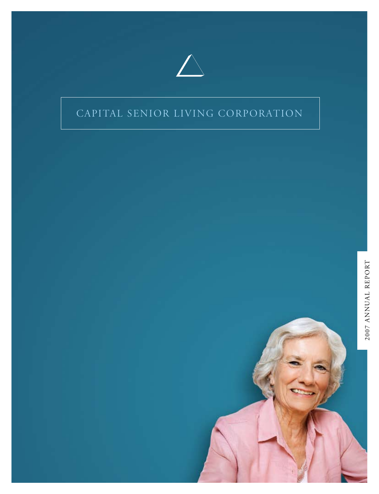

# CAPITAL SENIOR LIVING corporation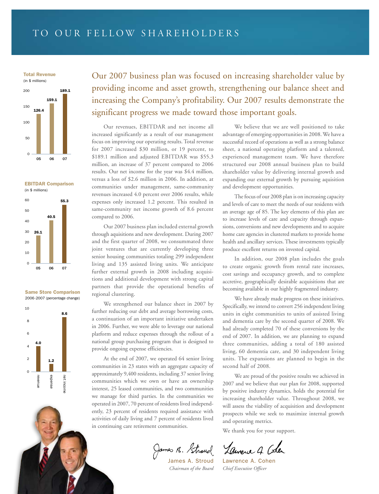Total Revenue



EBITDAR Comparison (in \$ millions)







2007 EBITDAR \$55.3 M

Our 2007 business plan was focused on increasing shareholder value by providing income and asset growth, strengthening our balance sheet and increasing the Company's profitability. Our 2007 results demonstrate the significant progress we made toward those important goals. 6 ncreasing the Company's Dur 2007 hus ionifican

Our revenues, EBITDAR and net income all increased significantly as a result of our management focus on improving our operating results. Total revenue for 2007 increased \$30 million, or 19 percent, to \$189.1 million and adjusted EBITDAR was \$55.3 million, an increase of 37 percent compared to 2006 results. Our net income for the year was \$4.4 million, versus a loss of \$2.6 million in 2006. In addition, at communities under management, same-community revenues increased 4.0 percent over 2006 results, while expenses only increased 1.2 percent. This resulted in same-community net income growth of 8.6 percent 20.5 Compared to 2006. revenue  $\begin{bmatrix} 2 \\ 3 \\ -1 \end{bmatrix}$ 

 Our 2007 business plan included external growth 6 <sup>30</sup> **26.1** shrough aquisitions and new development. During 2007 and the first quarter of 2008, we consummated three joint ventures that are currently developing three senior housing communities totaling 299 independent living and 135 assisted living units. We anticipate further external growth in 2008 including acquisitions and additional development with strong capital partners that provide the operational benefits of regional clustering. r<br>L ey<br>n n<br>1

 We strengthened our balance sheet in 2007 by further reducing our debt and average borrowing costs, a continuation of an important initiative undertaken in 2006. Further, we were able to leverage our national in 2006. platform and reduce expenses through the rollout of a national group purchasing program that is designed to provide ongoing expense efficiencies.

> At the end of 2007, we operated 64 senior living communities in 23 states with an aggregate capacity of approximately 9,400 residents, including 37 senior living communities which we own or have an ownership interest, 25 leased communities, and two communities we manage for third parties. In the communities we operated in 2007, 70 percent of residents lived independently, 23 percent of residents required assistance with activities of daily living and 7 percent of residents lived in continuing care retirement communities.

James B. Stroud

James A. Stroud *Chairman of the Board* 

 We believe that we are well positioned to take advantage of emerging opportunities in 2008. We have a successful record of operations as well as a strong balance sheet, a national operating platform and a talented, experienced management team. We have therefore structured our 2008 annual business plan to build shareholder value by delivering internal growth and expanding our external growth by pursuing aquisition and development opportunities.

 The focus of our 2008 plan is on increasing capacity and levels of care to meet the needs of our residents with an average age of 85. The key elements of this plan are to increase levels of care and capacity through expansions, conversions and new developments and to acquire home care agencies in clustered markets to provide home health and ancillary services. These investments typically produce excellent returns on invested capital.

 In addition, our 2008 plan includes the goals to create organic growth from rental rate increases, cost savings and occupancy growth, and to complete accretive, geographically desirable acquisitions that are becoming available in our highly fragmented industry.

 We have already made progress on these initiatives. Specifically, we intend to convert 256 independent living units in eight communities to units of assisted living and dementia care by the second quarter of 2008. We had already completed 70 of these conversions by the end of 2007. In addition, we are planning to expand three communities, adding a total of 180 assisted living, 60 dementia care, and 30 independent living units. The expansions are planned to begin in the second half of 2008.

 We are proud of the positive results we achieved in 2007 and we believe that our plan for 2008, supported by positive industry dynamics, holds the potential for increasing shareholder value. Throughout 2008, we will assess the viability of acquisition and development prospects while we seek to maximize internal growth and operating metrics.

We thank you for your support.

Laurence A (shen

Lawrence A. Cohen *Chief Executive Officer*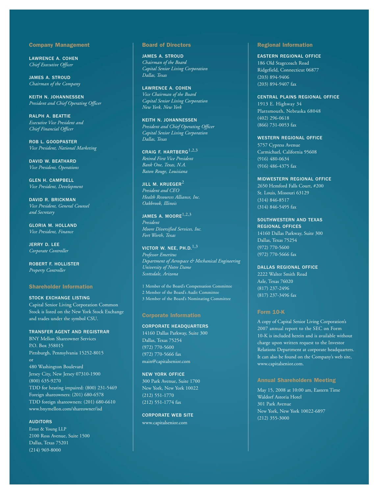## Company Management

Lawrence A. Cohen *Chief Executive Officer*

James A. Stroud *Chairman of the Company*

Keith N. Johannessen *President and Chief Operating Officer*

Ralph A. Beattie *Executive Vice President and Chief Financial Officer*

Rob L. Goodpaster *Vice President, National Marketing*

David W. Beathard *Vice President, Operations*

Glen H. Campbell *Vice President, Development*

David R. Brickman *Vice President, General Counsel and Secretary*

Gloria M. Holland *Vice President, Finance*

Jerry D. Lee *Corporate Controller*

Robert F. Hollister *Property Controller*

## Shareholder Information

Stock Exchange Listing Capital Senior Living Corporation Common Stock is listed on the New York Stock Exchange and trades under the symbol CSU.

#### Transfer Agent and Registrar

BNY Mellon Shareowner Services P.O. Box 358015 Pittsburgh, Pennsylvania 15252-8015 or 480 Washington Boulevard Jersey City, New Jersey 07310-1900 (800) 635-9270 TDD for hearing impaired: (800) 231-5469 Foreign shareowners: (201) 680-6578 TDD foreign shareowners: (201) 680-6610 www.bnymellon.com/shareowner/isd

#### **AUDITORS**

Ernst & Young LLP 2100 Ross Avenue, Suite 1500 Dallas, Texas 75201 (214) 969-8000

#### Board of Directors

James A. Stroud *Chairman of the Board Capital Senior Living Corporation Dallas, Texas*

Lawrence A. Cohen *Vice Chairman of the Board Capital Senior Living Corporation New York, New York*

Keith N. Johannessen *President and Chief Operating Officer Capital Senior Living Corporation Dallas, Texas*

CRAIG F. HARTBERG $1,2,3$ *Retired First Vice President Bank One, Texas, N.A. Baton Rouge, Louisiana*

JILL M. KRUFGER $2$ *President and CEO Health Resources Alliance, Inc. Oakbrook, Illinois*

JAMES A. MOORE $^{1,2,3}$ *President Moore Diversified Services, Inc. Fort Worth, Texas*

VICTOR W. NEE, PH.D. $^{1,3}$ *Professor Emeritus Department of Aerospace & Mechanical Engineering University of Notre Dame Scottsdale, Arizona*

1 Member of the Board's Compensation Committee 2 Member of the Board's Audit Committee 3 Member of the Board's Nominating Committee

#### Corporate Information

Corporate Headquarters 14160 Dallas Parkway, Suite 300 Dallas, Texas 75254 (972) 770-5600 (972) 770-5666 fax main@capitalsenior.com

#### New York Office

300 Park Avenue, Suite 1700 New York, New York 10022 (212) 551-1770 (212) 551-1774 fax

## Corporate Web Site

www.capitalsenior.com

## Regional Information

#### Eastern Regional Office

186 Old Stagecoach Road Ridgefield, Connecticut 06877 (203) 894-9406 (203) 894-9407 fax

## Central plains regional office

1913 E. Highway 34 Plattsmouth, Nebraska 68048 (402) 296-0618 (866) 731-0053 fax

western Regional Office 5757 Cypress Avenue

Carmichael, California 95608 (916) 480-0634 (916) 486-4375 fax

## MIDWestern Regional Office

2650 Hemford Falls Court, #200 St. Louis, Missouri 63129 (314) 846-8517  $(314)$  846-5495 fax

#### southwestern and texas Regional Offices

14160 Dallas Parkway, Suite 300 Dallas, Texas 75254 (972) 770-5600 (972) 770-5666 fax

## dallas regional office

2222 Walter Smith Road Azle, Texas 76020 (817) 237-2496 (817) 237-3496 fax

## Form 10-K

A copy of Capital Senior Living Corporation's 2007 annual report to the SEC on Form 10-K is included herein and is available without charge upon written request to the Investor Relations Department at corporate headquarters. It can also be found on the Company's web site, www.capitalsenior.com.

## Annual Shareholders Meeting

May 15, 2008 at 10:00 am, Eastern Time Waldorf Astoria Hotel 301 Park Avenue New York, New York 10022-6897 (212) 355-3000